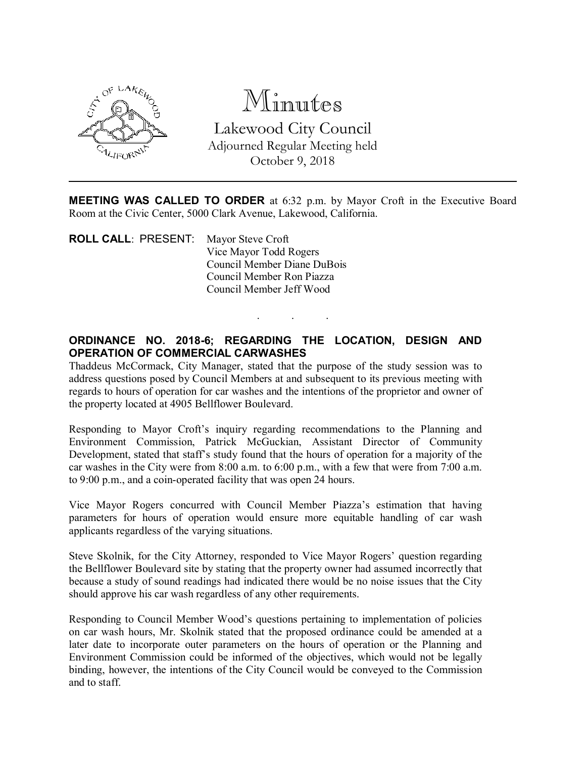

Minutes Lakewood City Council Adjourned Regular Meeting held October 9, 2018

MEETING WAS CALLED TO ORDER at 6:32 p.m. by Mayor Croft in the Executive Board Room at the Civic Center, 5000 Clark Avenue, Lakewood, California.

. . .

ROLL CALL: PRESENT: Mayor Steve Croft Vice Mayor Todd Rogers Council Member Diane DuBois Council Member Ron Piazza Council Member Jeff Wood

## ORDINANCE NO. 2018-6; REGARDING THE LOCATION, DESIGN AND OPERATION OF COMMERCIAL CARWASHES

Thaddeus McCormack, City Manager, stated that the purpose of the study session was to address questions posed by Council Members at and subsequent to its previous meeting with regards to hours of operation for car washes and the intentions of the proprietor and owner of the property located at 4905 Bellflower Boulevard.

Responding to Mayor Croft's inquiry regarding recommendations to the Planning and Environment Commission, Patrick McGuckian, Assistant Director of Community Development, stated that staff's study found that the hours of operation for a majority of the car washes in the City were from 8:00 a.m. to 6:00 p.m., with a few that were from 7:00 a.m. to 9:00 p.m., and a coin-operated facility that was open 24 hours.

Vice Mayor Rogers concurred with Council Member Piazza's estimation that having parameters for hours of operation would ensure more equitable handling of car wash applicants regardless of the varying situations.

Steve Skolnik, for the City Attorney, responded to Vice Mayor Rogers' question regarding the Bellflower Boulevard site by stating that the property owner had assumed incorrectly that because a study of sound readings had indicated there would be no noise issues that the City should approve his car wash regardless of any other requirements.

Responding to Council Member Wood's questions pertaining to implementation of policies on car wash hours, Mr. Skolnik stated that the proposed ordinance could be amended at a later date to incorporate outer parameters on the hours of operation or the Planning and Environment Commission could be informed of the objectives, which would not be legally binding, however, the intentions of the City Council would be conveyed to the Commission and to staff.